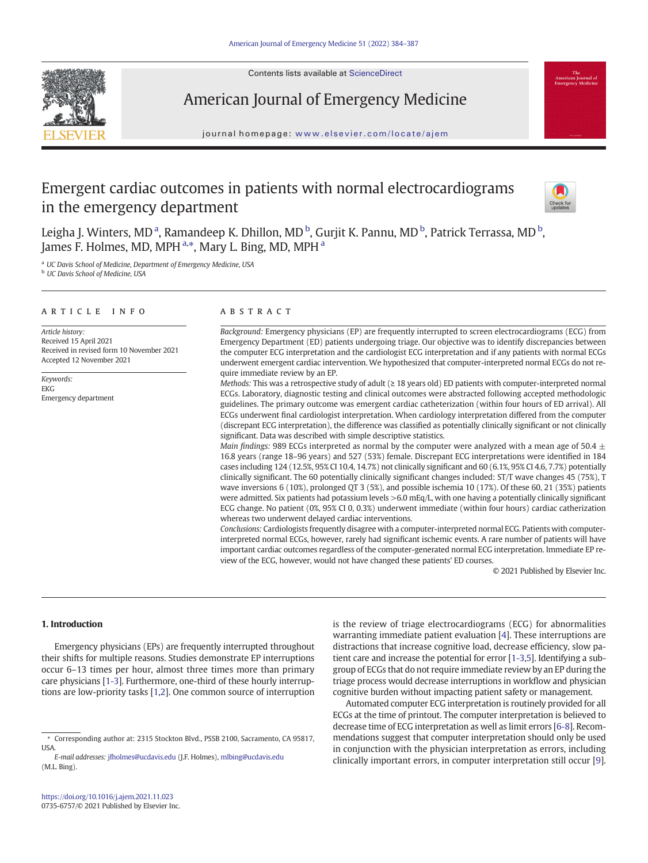Contents lists available at ScienceDirect



# American Journal of Emergency Medicine

journal homepage: <www.elsevier.com/locate/ajem>

# Emergent cardiac outcomes in patients with normal electrocardiograms in the emergency department



Leigha J. Winters, MD<sup>a</sup>, Ramandeep K. Dhillon, MD<sup>b</sup>, Gurjit K. Pannu, MD<sup>b</sup>, Patrick Terrassa, MD<sup>b</sup>, James F. Holmes, MD, MPH <sup>a,\*</sup>, Mary L. Bing, MD, MPH <sup>a</sup>

UC Davis School of Medicine, Department of Emergency Medicine, USA

<sup>b</sup> UC Davis School of Medicine, USA

# article info abstract

Article history: Received 15 April 2021 Received in revised form 10 November 2021 Accepted 12 November 2021

Keywords: EKG Emergency department

Background: Emergency physicians (EP) are frequently interrupted to screen electrocardiograms (ECG) from Emergency Department (ED) patients undergoing triage. Our objective was to identify discrepancies between the computer ECG interpretation and the cardiologist ECG interpretation and if any patients with normal ECGs underwent emergent cardiac intervention. We hypothesized that computer-interpreted normal ECGs do not require immediate review by an EP.

Methods: This was a retrospective study of adult (≥ 18 years old) ED patients with computer-interpreted normal ECGs. Laboratory, diagnostic testing and clinical outcomes were abstracted following accepted methodologic guidelines. The primary outcome was emergent cardiac catheterization (within four hours of ED arrival). All ECGs underwent final cardiologist interpretation. When cardiology interpretation differed from the computer (discrepant ECG interpretation), the difference was classified as potentially clinically significant or not clinically significant. Data was described with simple descriptive statistics.

Main findings: 989 ECGs interpreted as normal by the computer were analyzed with a mean age of 50.4  $\pm$ 16.8 years (range 18–96 years) and 527 (53%) female. Discrepant ECG interpretations were identified in 184 cases including 124 (12.5%, 95% CI 10.4, 14.7%) not clinically significant and 60 (6.1%, 95% CI 4.6, 7.7%) potentially clinically significant. The 60 potentially clinically significant changes included: ST/T wave changes 45 (75%), T wave inversions 6 (10%), prolonged QT 3 (5%), and possible ischemia 10 (17%). Of these 60, 21 (35%) patients were admitted. Six patients had potassium levels >6.0 mEq/L, with one having a potentially clinically significant ECG change. No patient (0%, 95% CI 0, 0.3%) underwent immediate (within four hours) cardiac catherization whereas two underwent delayed cardiac interventions.

Conclusions: Cardiologists frequently disagree with a computer-interpreted normal ECG. Patients with computerinterpreted normal ECGs, however, rarely had significant ischemic events. A rare number of patients will have important cardiac outcomes regardless of the computer-generated normal ECG interpretation. Immediate EP review of the ECG, however, would not have changed these patients' ED courses.

© 2021 Published by Elsevier Inc.

# 1. Introduction

Emergency physicians (EPs) are frequently interrupted throughout their shifts for multiple reasons. Studies demonstrate EP interruptions occur 6–13 times per hour, almost three times more than primary care physicians [\[1-3](#page-3-0)]. Furthermore, one-third of these hourly interruptions are low-priority tasks [\[1,2](#page-3-0)]. One common source of interruption

is the review of triage electrocardiograms (ECG) for abnormalities warranting immediate patient evaluation [\[4\]](#page-3-0). These interruptions are distractions that increase cognitive load, decrease efficiency, slow patient care and increase the potential for error [\[1-3](#page-3-0),[5](#page-3-0)]. Identifying a subgroup of ECGs that do not require immediate review by an EP during the triage process would decrease interruptions in workflow and physician cognitive burden without impacting patient safety or management.

Automated computer ECG interpretation is routinely provided for all ECGs at the time of printout. The computer interpretation is believed to decrease time of ECG interpretation as well as limit errors [[6-8\]](#page-3-0). Recommendations suggest that computer interpretation should only be used in conjunction with the physician interpretation as errors, including clinically important errors, in computer interpretation still occur [[9](#page-3-0)].

<sup>⁎</sup> Corresponding author at: 2315 Stockton Blvd., PSSB 2100, Sacramento, CA 95817, USA.

E-mail addresses: [jfholmes@ucdavis.edu](mailto:jfholmes@ucdavis.edu) (J.F. Holmes), [mlbing@ucdavis.edu](mailto:mlbing@ucdavis.edu) (M.L. Bing).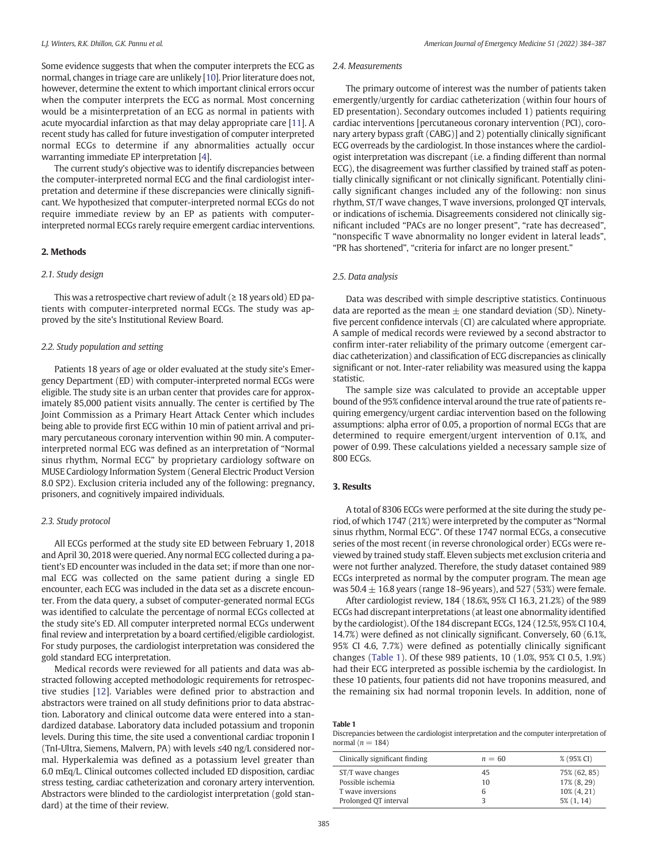Some evidence suggests that when the computer interprets the ECG as normal, changes in triage care are unlikely [\[10](#page-3-0)]. Prior literature does not, however, determine the extent to which important clinical errors occur when the computer interprets the ECG as normal. Most concerning would be a misinterpretation of an ECG as normal in patients with acute myocardial infarction as that may delay appropriate care [\[11](#page-3-0)]. A recent study has called for future investigation of computer interpreted normal ECGs to determine if any abnormalities actually occur warranting immediate EP interpretation [\[4\]](#page-3-0).

The current study's objective was to identify discrepancies between the computer-interpreted normal ECG and the final cardiologist interpretation and determine if these discrepancies were clinically significant. We hypothesized that computer-interpreted normal ECGs do not require immediate review by an EP as patients with computerinterpreted normal ECGs rarely require emergent cardiac interventions.

#### 2. Methods

#### 2.1. Study design

This was a retrospective chart review of adult ( $\geq$  18 years old) ED patients with computer-interpreted normal ECGs. The study was approved by the site's Institutional Review Board.

## 2.2. Study population and setting

Patients 18 years of age or older evaluated at the study site's Emergency Department (ED) with computer-interpreted normal ECGs were eligible. The study site is an urban center that provides care for approximately 85,000 patient visits annually. The center is certified by The Joint Commission as a Primary Heart Attack Center which includes being able to provide first ECG within 10 min of patient arrival and primary percutaneous coronary intervention within 90 min. A computerinterpreted normal ECG was defined as an interpretation of "Normal sinus rhythm, Normal ECG" by proprietary cardiology software on MUSE Cardiology Information System (General Electric Product Version 8.0 SP2). Exclusion criteria included any of the following: pregnancy, prisoners, and cognitively impaired individuals.

#### 2.3. Study protocol

All ECGs performed at the study site ED between February 1, 2018 and April 30, 2018 were queried. Any normal ECG collected during a patient's ED encounter was included in the data set; if more than one normal ECG was collected on the same patient during a single ED encounter, each ECG was included in the data set as a discrete encounter. From the data query, a subset of computer-generated normal ECGs was identified to calculate the percentage of normal ECGs collected at the study site's ED. All computer interpreted normal ECGs underwent final review and interpretation by a board certified/eligible cardiologist. For study purposes, the cardiologist interpretation was considered the gold standard ECG interpretation.

Medical records were reviewed for all patients and data was abstracted following accepted methodologic requirements for retrospective studies [\[12\]](#page-3-0). Variables were defined prior to abstraction and abstractors were trained on all study definitions prior to data abstraction. Laboratory and clinical outcome data were entered into a standardized database. Laboratory data included potassium and troponin levels. During this time, the site used a conventional cardiac troponin I (TnI-Ultra, Siemens, Malvern, PA) with levels ≤40 ng/L considered normal. Hyperkalemia was defined as a potassium level greater than 6.0 mEq/L. Clinical outcomes collected included ED disposition, cardiac stress testing, cardiac catheterization and coronary artery intervention. Abstractors were blinded to the cardiologist interpretation (gold standard) at the time of their review.

### 2.4. Measurements

The primary outcome of interest was the number of patients taken emergently/urgently for cardiac catheterization (within four hours of ED presentation). Secondary outcomes included 1) patients requiring cardiac interventions [percutaneous coronary intervention (PCI), coronary artery bypass graft (CABG)] and 2) potentially clinically significant ECG overreads by the cardiologist. In those instances where the cardiologist interpretation was discrepant (i.e. a finding different than normal ECG), the disagreement was further classified by trained staff as potentially clinically significant or not clinically significant. Potentially clinically significant changes included any of the following: non sinus rhythm, ST/T wave changes, T wave inversions, prolonged QT intervals, or indications of ischemia. Disagreements considered not clinically significant included "PACs are no longer present", "rate has decreased", "nonspecific T wave abnormality no longer evident in lateral leads", "PR has shortened", "criteria for infarct are no longer present."

# 2.5. Data analysis

Data was described with simple descriptive statistics. Continuous data are reported as the mean  $\pm$  one standard deviation (SD). Ninetyfive percent confidence intervals (CI) are calculated where appropriate. A sample of medical records were reviewed by a second abstractor to confirm inter-rater reliability of the primary outcome (emergent cardiac catheterization) and classification of ECG discrepancies as clinically significant or not. Inter-rater reliability was measured using the kappa statistic.

The sample size was calculated to provide an acceptable upper bound of the 95% confidence interval around the true rate of patients requiring emergency/urgent cardiac intervention based on the following assumptions: alpha error of 0.05, a proportion of normal ECGs that are determined to require emergent/urgent intervention of 0.1%, and power of 0.99. These calculations yielded a necessary sample size of 800 ECGs.

## 3. Results

A total of 8306 ECGs were performed at the site during the study period, of which 1747 (21%) were interpreted by the computer as "Normal sinus rhythm, Normal ECG". Of these 1747 normal ECGs, a consecutive series of the most recent (in reverse chronological order) ECGs were reviewed by trained study staff. Eleven subjects met exclusion criteria and were not further analyzed. Therefore, the study dataset contained 989 ECGs interpreted as normal by the computer program. The mean age was  $50.4 \pm 16.8$  years (range 18–96 years), and 527 (53%) were female.

After cardiologist review, 184 (18.6%, 95% CI 16.3, 21.2%) of the 989 ECGs had discrepant interpretations (at least one abnormality identified by the cardiologist). Of the 184 discrepant ECGs, 124 (12.5%, 95% CI 10.4, 14.7%) were defined as not clinically significant. Conversely, 60 (6.1%, 95% CI 4.6, 7.7%) were defined as potentially clinically significant changes (Table 1). Of these 989 patients, 10 (1.0%, 95% CI 0.5, 1.9%) had their ECG interpreted as possible ischemia by the cardiologist. In these 10 patients, four patients did not have troponins measured, and the remaining six had normal troponin levels. In addition, none of

|  | project between the cardiologict |  |
|--|----------------------------------|--|

Discrepancies between the cardiologist interpretation and the computer interpretation of normal ( $n = 184$ )

| Clinically significant finding | $n = 60$ | % (95% CI)      |
|--------------------------------|----------|-----------------|
| ST/T wave changes              | 45       | 75% (62, 85)    |
| Possible ischemia              | 10       | 17% (8, 29)     |
| T wave inversions              |          | 10% (4, 21)     |
| Prolonged OT interval          |          | $5\%$ $(1, 14)$ |

Table 1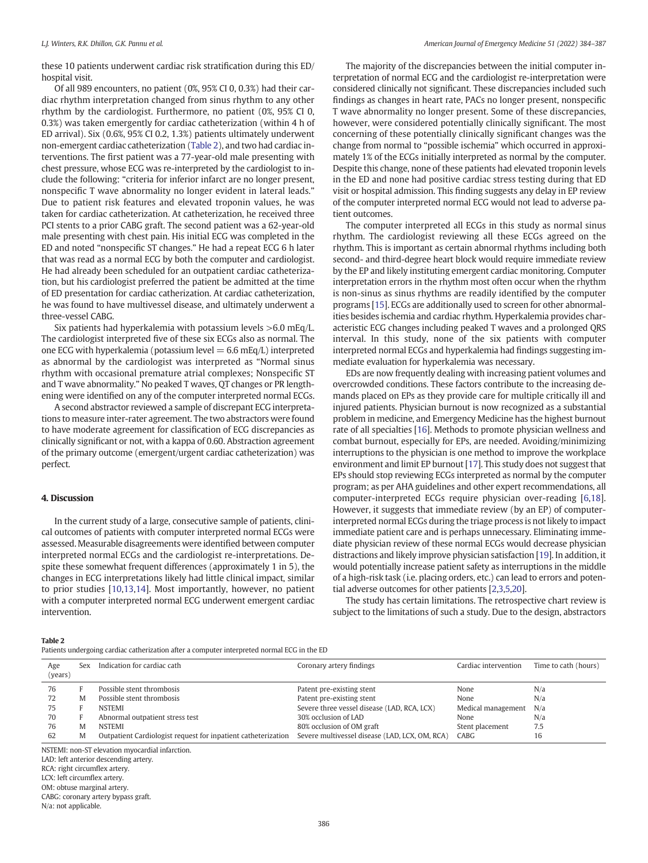<span id="page-2-0"></span>these 10 patients underwent cardiac risk stratification during this ED/ hospital visit.

Of all 989 encounters, no patient (0%, 95% CI 0, 0.3%) had their cardiac rhythm interpretation changed from sinus rhythm to any other rhythm by the cardiologist. Furthermore, no patient (0%, 95% CI 0, 0.3%) was taken emergently for cardiac catheterization (within 4 h of ED arrival). Six (0.6%, 95% CI 0.2, 1.3%) patients ultimately underwent non-emergent cardiac catheterization (Table 2), and two had cardiac interventions. The first patient was a 77-year-old male presenting with chest pressure, whose ECG was re-interpreted by the cardiologist to include the following: "criteria for inferior infarct are no longer present, nonspecific T wave abnormality no longer evident in lateral leads." Due to patient risk features and elevated troponin values, he was taken for cardiac catheterization. At catheterization, he received three PCI stents to a prior CABG graft. The second patient was a 62-year-old male presenting with chest pain. His initial ECG was completed in the ED and noted "nonspecific ST changes." He had a repeat ECG 6 h later that was read as a normal ECG by both the computer and cardiologist. He had already been scheduled for an outpatient cardiac catheterization, but his cardiologist preferred the patient be admitted at the time of ED presentation for cardiac catherization. At cardiac catheterization, he was found to have multivessel disease, and ultimately underwent a three-vessel CABG.

Six patients had hyperkalemia with potassium levels >6.0 mEq/L. The cardiologist interpreted five of these six ECGs also as normal. The one ECG with hyperkalemia (potassium level  $= 6.6$  mEq/L) interpreted as abnormal by the cardiologist was interpreted as "Normal sinus rhythm with occasional premature atrial complexes; Nonspecific ST and T wave abnormality." No peaked T waves, QT changes or PR lengthening were identified on any of the computer interpreted normal ECGs.

A second abstractor reviewed a sample of discrepant ECG interpretations to measure inter-rater agreement. The two abstractors were found to have moderate agreement for classification of ECG discrepancies as clinically significant or not, with a kappa of 0.60. Abstraction agreement of the primary outcome (emergent/urgent cardiac catheterization) was perfect.

## 4. Discussion

In the current study of a large, consecutive sample of patients, clinical outcomes of patients with computer interpreted normal ECGs were assessed. Measurable disagreements were identified between computer interpreted normal ECGs and the cardiologist re-interpretations. Despite these somewhat frequent differences (approximately 1 in 5), the changes in ECG interpretations likely had little clinical impact, similar to prior studies [[10,13](#page-3-0),[14](#page-3-0)]. Most importantly, however, no patient with a computer interpreted normal ECG underwent emergent cardiac intervention.

# The majority of the discrepancies between the initial computer interpretation of normal ECG and the cardiologist re-interpretation were considered clinically not significant. These discrepancies included such findings as changes in heart rate, PACs no longer present, nonspecific T wave abnormality no longer present. Some of these discrepancies, however, were considered potentially clinically significant. The most concerning of these potentially clinically significant changes was the change from normal to "possible ischemia" which occurred in approximately 1% of the ECGs initially interpreted as normal by the computer. Despite this change, none of these patients had elevated troponin levels in the ED and none had positive cardiac stress testing during that ED visit or hospital admission. This finding suggests any delay in EP review of the computer interpreted normal ECG would not lead to adverse patient outcomes.

The computer interpreted all ECGs in this study as normal sinus rhythm. The cardiologist reviewing all these ECGs agreed on the rhythm. This is important as certain abnormal rhythms including both second- and third-degree heart block would require immediate review by the EP and likely instituting emergent cardiac monitoring. Computer interpretation errors in the rhythm most often occur when the rhythm is non-sinus as sinus rhythms are readily identified by the computer programs [[15](#page-3-0)]. ECGs are additionally used to screen for other abnormalities besides ischemia and cardiac rhythm. Hyperkalemia provides characteristic ECG changes including peaked T waves and a prolonged QRS interval. In this study, none of the six patients with computer interpreted normal ECGs and hyperkalemia had findings suggesting immediate evaluation for hyperkalemia was necessary.

EDs are now frequently dealing with increasing patient volumes and overcrowded conditions. These factors contribute to the increasing demands placed on EPs as they provide care for multiple critically ill and injured patients. Physician burnout is now recognized as a substantial problem in medicine, and Emergency Medicine has the highest burnout rate of all specialties [[16](#page-3-0)]. Methods to promote physician wellness and combat burnout, especially for EPs, are needed. Avoiding/minimizing interruptions to the physician is one method to improve the workplace environment and limit EP burnout [\[17](#page-3-0)]. This study does not suggest that EPs should stop reviewing ECGs interpreted as normal by the computer program; as per AHA guidelines and other expert recommendations, all computer-interpreted ECGs require physician over-reading [[6,18](#page-3-0)]. However, it suggests that immediate review (by an EP) of computerinterpreted normal ECGs during the triage process is not likely to impact immediate patient care and is perhaps unnecessary. Eliminating immediate physician review of these normal ECGs would decrease physician distractions and likely improve physician satisfaction [[19](#page-3-0)]. In addition, it would potentially increase patient safety as interruptions in the middle of a high-risk task (i.e. placing orders, etc.) can lead to errors and potential adverse outcomes for other patients [\[2,3,5](#page-3-0),[20\]](#page-3-0).

The study has certain limitations. The retrospective chart review is subject to the limitations of such a study. Due to the design, abstractors

#### Table 2

Patients undergoing cardiac catherization after a computer interpreted normal ECG in the ED

Age (years) Sex Indication for cardiac cath Coronary artery findings Cardiac intervention Time to cath (hours) 76 F Possible stent thrombosis Company is a patent pre-existing stent None N/a None N/a 72 M Possible stent thrombosis and the Patent pre-existing stent pre-existing stent None N/a<br>75 F NSTEMI Pre-existing Severe three vessel disease (LAD, RCA, LCX) Medical management N/a 75 F NSTEMI Severe three vessel disease (LAD, RCA, LCX) Medical management<br>70 F Abnormal outpatient stress test 30% occlusion of LAD None F Abnormal outpatient stress test 30% occlusion of LAD None None N/a 76 M NSTEMI 80% occlusion of OM graft Stent placement 7.5 62 M Outpatient Cardiologist request for inpatient catheterization Severe multivessel disease (LAD, LCX, OM, RCA) CABG 16 NSTEMI: non-ST elevation myocardial infarction. LAD: left anterior descending artery.

RCA: right circumflex artery. LCX: left circumflex artery. OM: obtuse marginal artery. CABG: coronary artery bypass graft. N/a: not applicable.